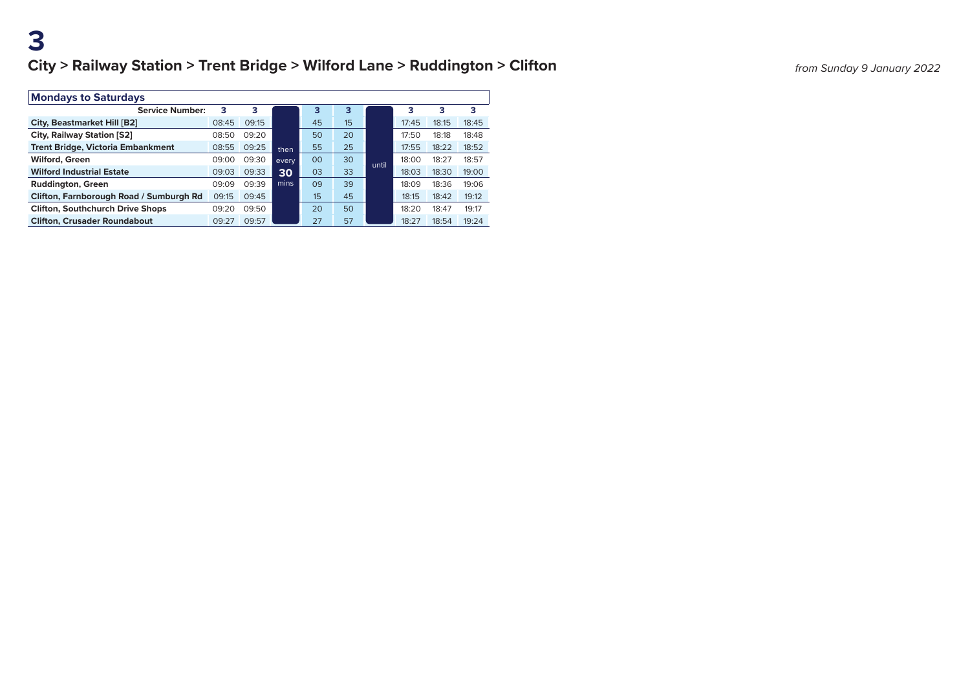| <b>Mondays to Saturdays</b>              |       |       |       |    |    |       |       |       |       |  |
|------------------------------------------|-------|-------|-------|----|----|-------|-------|-------|-------|--|
| <b>Service Number:</b>                   | з     | з     |       | з  | з  |       | з     | 3     | з     |  |
| <b>City, Beastmarket Hill [B2]</b>       | 08:45 | 09:15 |       | 45 | 15 |       | 17:45 | 18:15 | 18:45 |  |
| <b>City, Railway Station [S2]</b>        | 08:50 | 09:20 |       | 50 | 20 |       | 17:50 | 18:18 | 18:48 |  |
| <b>Trent Bridge, Victoria Embankment</b> | 08:55 | 09:25 | then  | 55 | 25 |       | 17:55 | 18:22 | 18:52 |  |
| <b>Wilford, Green</b>                    | 09:00 | 09:30 | every | 00 | 30 | until | 18:00 | 18:27 | 18:57 |  |
| <b>Wilford Industrial Estate</b>         | 09:03 | 09:33 | 30    | 03 | 33 |       | 18:03 | 18:30 | 19:00 |  |
| <b>Ruddington, Green</b>                 | 09:09 | 09:39 | mins  | 09 | 39 |       | 18:09 | 18:36 | 19:06 |  |
| Clifton, Farnborough Road / Sumburgh Rd  | 09:15 | 09:45 |       | 15 | 45 |       | 18:15 | 18:42 | 19:12 |  |
| <b>Clifton, Southchurch Drive Shops</b>  | 09:20 | 09:50 |       | 20 | 50 |       | 18:20 | 18:47 | 19:17 |  |
| <b>Clifton, Crusader Roundabout</b>      | 09:27 | 09:57 |       | 27 | 57 |       | 18:27 | 18:54 | 19:24 |  |